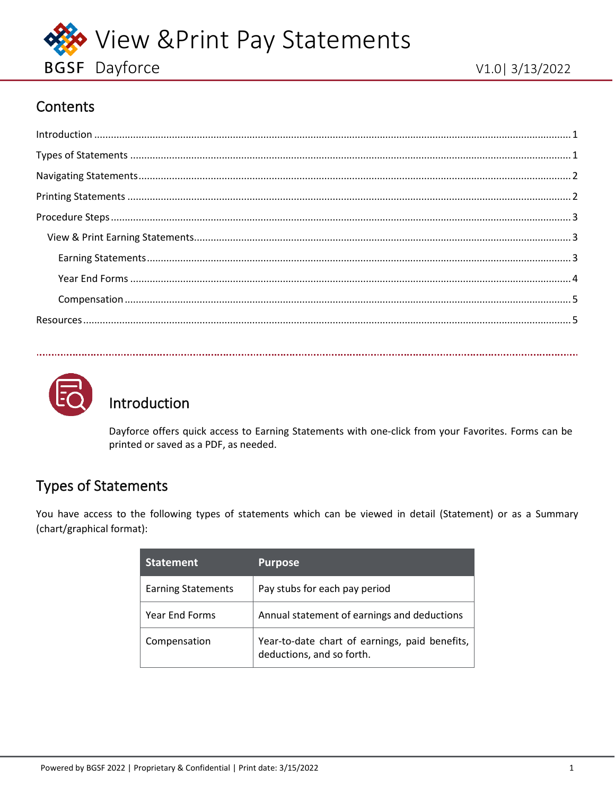

### **Contents**

<span id="page-0-2"></span>

| $\label{eq:1} \mbox{Introduction} \,\, \ldots \,\, \ldots \,\, \ldots \,\, \ldots \,\, \ldots \,\, \ldots \,\, \ldots \,\, \ldots \,\, \ldots \,\, \ldots \,\, \ldots \,\, \ldots \,\, \ldots \,\, \ldots \,\, \ldots \,\, \ldots \,\, \ldots \,\, \ldots \,\, \ldots \,\, \ldots \,\, \ldots \,\, \ldots \,\, \ldots \,\, \ldots \,\, \ldots \,\, \ldots \,\, \ldots \,\, \ldots \,\, \ldots \,\, \ldots \,\, \ldots \,\, \ldots \,\, \ldots \,\, \ldots \,\,$ |  |
|-----------------------------------------------------------------------------------------------------------------------------------------------------------------------------------------------------------------------------------------------------------------------------------------------------------------------------------------------------------------------------------------------------------------------------------------------------------------|--|
|                                                                                                                                                                                                                                                                                                                                                                                                                                                                 |  |
|                                                                                                                                                                                                                                                                                                                                                                                                                                                                 |  |
|                                                                                                                                                                                                                                                                                                                                                                                                                                                                 |  |
|                                                                                                                                                                                                                                                                                                                                                                                                                                                                 |  |
|                                                                                                                                                                                                                                                                                                                                                                                                                                                                 |  |
|                                                                                                                                                                                                                                                                                                                                                                                                                                                                 |  |
|                                                                                                                                                                                                                                                                                                                                                                                                                                                                 |  |
|                                                                                                                                                                                                                                                                                                                                                                                                                                                                 |  |
|                                                                                                                                                                                                                                                                                                                                                                                                                                                                 |  |
|                                                                                                                                                                                                                                                                                                                                                                                                                                                                 |  |



# <span id="page-0-0"></span>Introduction

Dayforce offers quick access to Earning Statements with one-click from your Favorites. Forms can be printed or saved as a PDF, as needed.

## <span id="page-0-1"></span>Types of Statements

You have access to the following types of statements which can be viewed in detail (Statement) or as a Summary (chart/graphical format):

| <b>Statement</b>          | <b>Purpose</b>                                                              |
|---------------------------|-----------------------------------------------------------------------------|
| <b>Earning Statements</b> | Pay stubs for each pay period                                               |
| <b>Year End Forms</b>     | Annual statement of earnings and deductions                                 |
| Compensation              | Year-to-date chart of earnings, paid benefits,<br>deductions, and so forth. |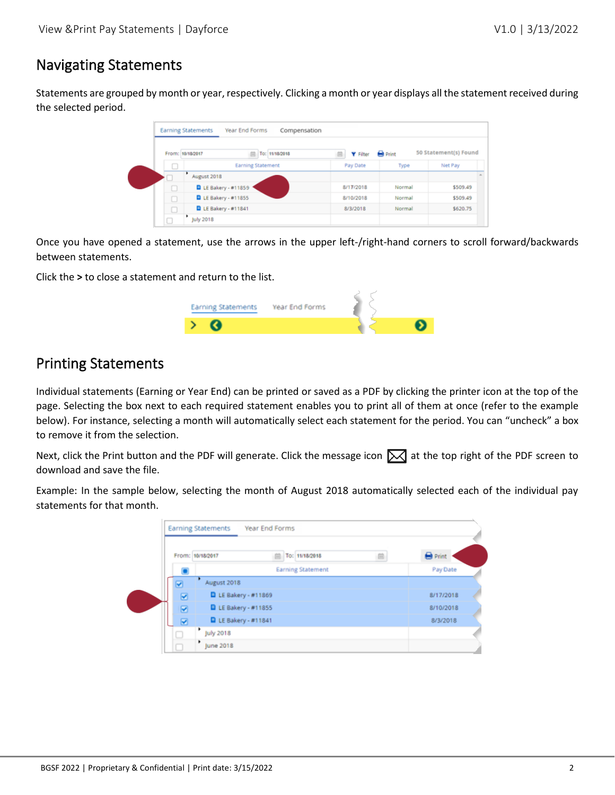#### <span id="page-1-0"></span>Navigating Statements

Statements are grouped by month or year, respectively. Clicking a month or year displays all the statement received during the selected period.

| <b>Earning Statements</b> | <b>Year End Forms</b><br>Compensation |                 |                 |                       |
|---------------------------|---------------------------------------|-----------------|-----------------|-----------------------|
| From: 10/18/2017          | To: 11/18/2018                        | <b>Y</b> Filter | <b>Re</b> Print | 50 Statement(s) Found |
|                           | <b>Earning Statement</b>              | Pay Date        | Type            | Net Pay               |
| August 2018               |                                       |                 |                 |                       |
|                           | LE Bakery - #11859                    | 8/17/2018       | Normal          | \$509.49              |
|                           | LE Bakery - #11855                    | 8/10/2018       | Normal          | \$509.49              |
|                           | LE Bakery - #11841                    | 8/3/2018        | Normal          | \$620.75              |
| July 2018<br>с            |                                       |                 |                 |                       |

Once you have opened a statement, use the arrows in the upper left-/right-hand corners to scroll forward/backwards between statements.

Click the **>** to close a statement and return to the list.

| Earning Statements | Year End Forms |  |
|--------------------|----------------|--|
|                    |                |  |

## <span id="page-1-1"></span>Printing Statements

Individual statements (Earning or Year End) can be printed or saved as a PDF by clicking the printer icon at the top of the page. Selecting the box next to each required statement enables you to print all of them at once (refer to the example below). For instance, selecting a month will automatically select each statement for the period. You can "uncheck" a box to remove it from the selection.

Next, click the Print button and the PDF will generate. Click the message icon  $\boxtimes$  at the top right of the PDF screen to download and save the file.

Example: In the sample below, selecting the month of August 2018 automatically selected each of the individual pay statements for that month.

|   | From: 10/18/2017   |  | To: 11/18/2018           | 曲 | <b>O</b> Print |
|---|--------------------|--|--------------------------|---|----------------|
|   |                    |  | <b>Earning Statement</b> |   | Pay Date       |
|   | August 2018        |  |                          |   |                |
| ☑ | LE Bakery - #11869 |  |                          |   | 8/17/2018      |
| ☑ | LE Bakery - #11855 |  |                          |   | 8/10/2018      |
| ◙ | LE Bakery - #11841 |  |                          |   | 8/3/2018       |
| u | <b>July 2018</b>   |  |                          |   |                |
| с | June 2018          |  |                          |   |                |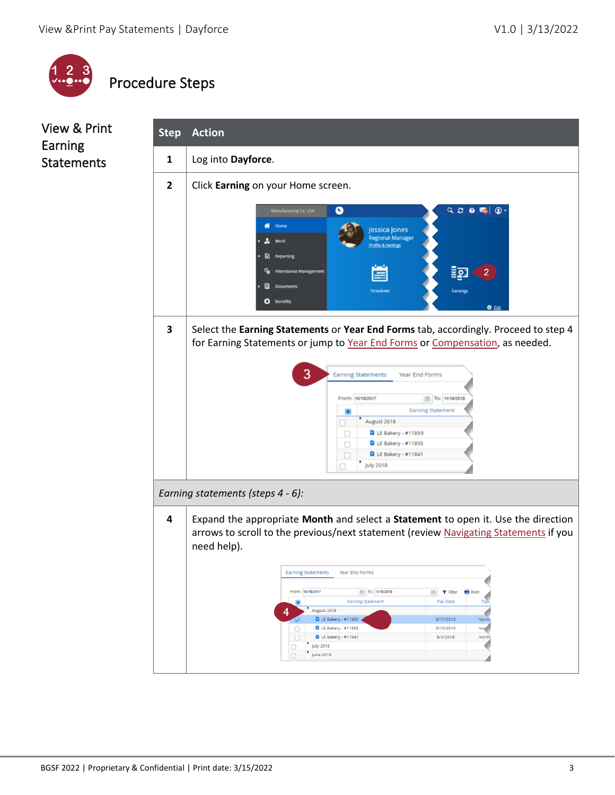

<span id="page-2-0"></span>

#### <span id="page-2-2"></span><span id="page-2-1"></span>View & Print **Step Action** Earning **1** Log into **Dayforce**. **Statements 2** | Click **Earning** on your Home screen.  $\bullet$ ۰ Jessica Jones egional Manager file & Settings <u>ទ្វីក្</u>ស 〓  $O$  Be **3** Select the **Earning Statements** or **Year End Forms** tab, accordingly. Proceed to step 4 for Earning Statements or jump to [Year End Forms](#page-3-1) or [Compensation,](#page-4-0) as needed. **Earning Statements** Year End Forms C To: 11/18/2018 From: 10/18/2017 **Earning Statement** August 2018 LE Bakery - #11859  $\Box$ LE Bakery - #11855  $\Box$ LE Bakery - #11841  $\Box$  $\frac{1}{\sqrt{2018}}$ *Earning statements (steps 4 - 6):* **4** Expand the appropriate **Month** and select a **Statement** to open it. Use the direction arrows to scroll to the previous/next statement (review [Navigating Statements](#page-1-0) if you need help).**Earning Statements** Year End Forms rom: 10/18/2017 To: 11/18/2018 **Filter** Earning Statement Pay Date August 2018  $\Box$  LE Bakery - #11869 8/17/2018 LE Bakery - #11855 8/10/2018  $\blacksquare$  LE Bakery - #11841 8/3/2018 ı. **July 2018**  $June 2018$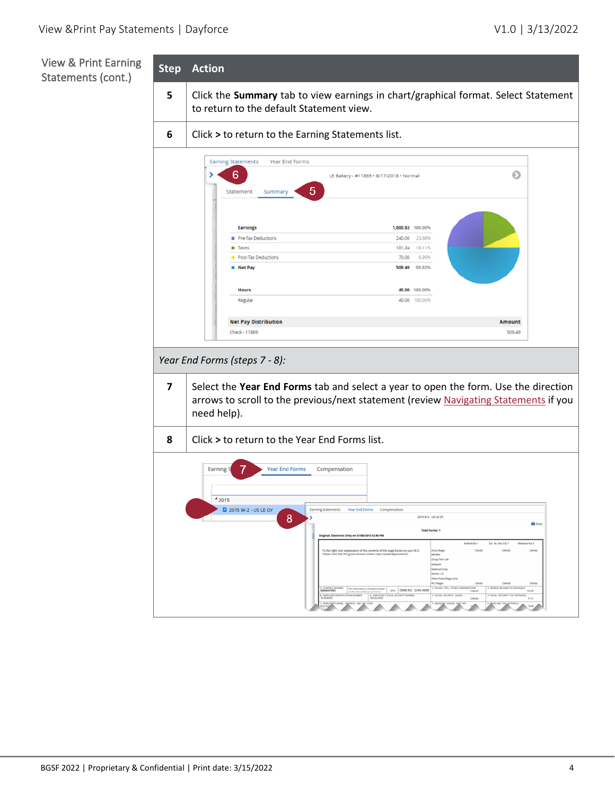#### View & Print Earning Statements (cont.)

<span id="page-3-1"></span><span id="page-3-0"></span>

| view & Print Earning<br>Statements (cont.) | <b>Step</b>                                                                                                                         | <b>Action</b>                                                           |                                                                                                                                                                                                                                                                                                                                                                                                                                                                                                                                                                                                                                                                                                                                                                                                                                                                           |                                                                                                                                                                                                                                                  |  |  |  |
|--------------------------------------------|-------------------------------------------------------------------------------------------------------------------------------------|-------------------------------------------------------------------------|---------------------------------------------------------------------------------------------------------------------------------------------------------------------------------------------------------------------------------------------------------------------------------------------------------------------------------------------------------------------------------------------------------------------------------------------------------------------------------------------------------------------------------------------------------------------------------------------------------------------------------------------------------------------------------------------------------------------------------------------------------------------------------------------------------------------------------------------------------------------------|--------------------------------------------------------------------------------------------------------------------------------------------------------------------------------------------------------------------------------------------------|--|--|--|
|                                            | Click the Summary tab to view earnings in chart/graphical format. Select Statement<br>5<br>to return to the default Statement view. |                                                                         |                                                                                                                                                                                                                                                                                                                                                                                                                                                                                                                                                                                                                                                                                                                                                                                                                                                                           |                                                                                                                                                                                                                                                  |  |  |  |
|                                            | 6                                                                                                                                   |                                                                         |                                                                                                                                                                                                                                                                                                                                                                                                                                                                                                                                                                                                                                                                                                                                                                                                                                                                           |                                                                                                                                                                                                                                                  |  |  |  |
|                                            |                                                                                                                                     | <b>Earning Statements</b><br>Year End Forms                             |                                                                                                                                                                                                                                                                                                                                                                                                                                                                                                                                                                                                                                                                                                                                                                                                                                                                           |                                                                                                                                                                                                                                                  |  |  |  |
|                                            |                                                                                                                                     | 6<br>Summary<br>Statement                                               | LE Bakery - #11869 . 8/17/2018 . Normal<br>5.                                                                                                                                                                                                                                                                                                                                                                                                                                                                                                                                                                                                                                                                                                                                                                                                                             | $\odot$                                                                                                                                                                                                                                          |  |  |  |
|                                            |                                                                                                                                     | <b>Earnings</b><br>Pre-Tax Deductions                                   | 1,000.83 100.00%<br>23.98%<br>240.00                                                                                                                                                                                                                                                                                                                                                                                                                                                                                                                                                                                                                                                                                                                                                                                                                                      |                                                                                                                                                                                                                                                  |  |  |  |
|                                            |                                                                                                                                     | <b>B</b> Taxes<br>Post-Tax Deductions                                   | 18.11%<br>181.34<br>70.00<br>6.99%                                                                                                                                                                                                                                                                                                                                                                                                                                                                                                                                                                                                                                                                                                                                                                                                                                        |                                                                                                                                                                                                                                                  |  |  |  |
|                                            |                                                                                                                                     | <b>Net Pay</b>                                                          | 50.92%<br>509.49                                                                                                                                                                                                                                                                                                                                                                                                                                                                                                                                                                                                                                                                                                                                                                                                                                                          |                                                                                                                                                                                                                                                  |  |  |  |
|                                            |                                                                                                                                     | <b>Hours</b>                                                            | 40.00 100.00%                                                                                                                                                                                                                                                                                                                                                                                                                                                                                                                                                                                                                                                                                                                                                                                                                                                             |                                                                                                                                                                                                                                                  |  |  |  |
|                                            |                                                                                                                                     | Regular                                                                 | 40.00 100.00%                                                                                                                                                                                                                                                                                                                                                                                                                                                                                                                                                                                                                                                                                                                                                                                                                                                             |                                                                                                                                                                                                                                                  |  |  |  |
|                                            |                                                                                                                                     | <b>Net Pay Distribution</b>                                             |                                                                                                                                                                                                                                                                                                                                                                                                                                                                                                                                                                                                                                                                                                                                                                                                                                                                           | Amount                                                                                                                                                                                                                                           |  |  |  |
|                                            |                                                                                                                                     | Check - 11869                                                           |                                                                                                                                                                                                                                                                                                                                                                                                                                                                                                                                                                                                                                                                                                                                                                                                                                                                           | 509.49                                                                                                                                                                                                                                           |  |  |  |
|                                            | 7                                                                                                                                   | Year End Forms (steps 7 - 8):<br>need help).                            | Select the Year End Forms tab and select a year to open the form. Use the direction<br>arrows to scroll to the previous/next statement (review Navigating Statements if you                                                                                                                                                                                                                                                                                                                                                                                                                                                                                                                                                                                                                                                                                               |                                                                                                                                                                                                                                                  |  |  |  |
|                                            | 8                                                                                                                                   | Click > to return to the Year End Forms list.                           |                                                                                                                                                                                                                                                                                                                                                                                                                                                                                                                                                                                                                                                                                                                                                                                                                                                                           |                                                                                                                                                                                                                                                  |  |  |  |
|                                            |                                                                                                                                     | <b>Year End Forms</b><br>Earning S<br>42015<br>2015 W-2 - US LE OY<br>8 | Compensation<br>Earning Statements<br>Year End Forms<br>Compensation<br>2015 W-2 - US LE OV<br>۰><br><b>Total Forms: 1</b><br>Original: Electronic Only on 07/08/2015 02:46 PM<br>To the right is an explanation of the contents of the wage boxes on your W-2.<br><b>POSS Wages</b><br>Please note that the gross amount shown may include adjustments.<br>Benefits<br>Group Term Life<br>Adoption<br>Deferred Comp<br>Section 125<br>Other Pretax/Wage Limit<br>W-2 Wages<br>3 WHOES, TIPS, OTHER COMPENSA<br>CONTROL NUMBER<br>This Information is being furnished 2015 CMB NO. 1545-0008<br>to the internal is a particular product to the internal in the limit of the internal is<br>$\begin{tabular}{ c c c c } \hline A & EMIGVOTECS SOCSM & SECURUTY MUMREA \\ \hline $595-55-55555 \\ \hline \end{tabular}$<br>I SOCIAL SECURITY<br>WAGES.<br>$\overline{cost}$ | <b>C</b> Print<br>Federal Box 1<br>Soc. Sec. Box 3 & 7<br>Medicare Box 5<br>1244.66<br>1244.66<br>1244.66<br>1244.66<br>1244.66<br>1244.66<br>2 RDDA NCOME TAX WTHHEID<br>100.00<br>1244.66<br>4 SOON, SECURITY TAX WITHHEID<br>77.17<br>1344.66 |  |  |  |